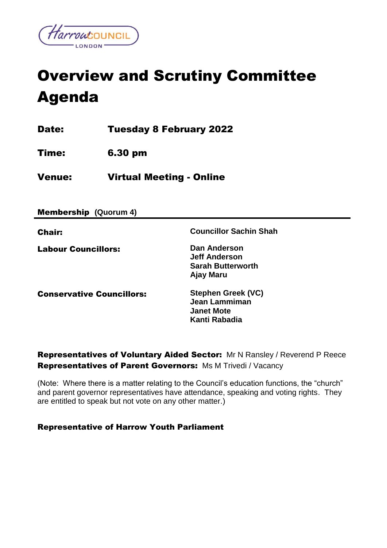

# Overview and Scrutiny Committee Agenda

Date: Tuesday 8 February 2022

Time: 6.30 pm

Venue: Virtual Meeting - Online

Membership **(Quorum 4)**

| <b>Chair:</b>                    | <b>Councillor Sachin Shah</b>                                                    |
|----------------------------------|----------------------------------------------------------------------------------|
| <b>Labour Councillors:</b>       | Dan Anderson<br><b>Jeff Anderson</b><br><b>Sarah Butterworth</b><br>Ajay Maru    |
| <b>Conservative Councillors:</b> | <b>Stephen Greek (VC)</b><br>Jean Lammiman<br><b>Janet Mote</b><br>Kanti Rabadia |

Representatives of Voluntary Aided Sector:Mr N Ransley / Reverend P Reece Representatives of Parent Governors:Ms M Trivedi / Vacancy

(Note: Where there is a matter relating to the Council's education functions, the "church" and parent governor representatives have attendance, speaking and voting rights. They are entitled to speak but not vote on any other matter.)

### Representative of Harrow Youth Parliament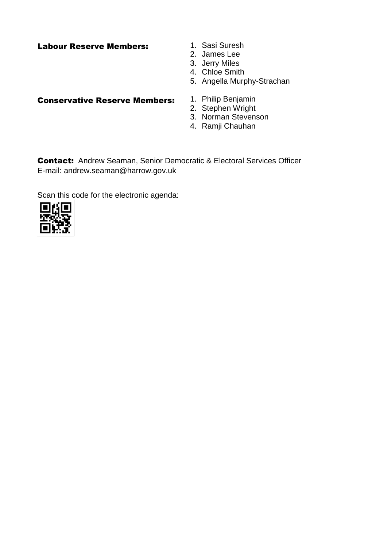# Labour Reserve Members: 1. Sasi Suresh

- 
- 2. James Lee
- 3. Jerry Miles
- 4. Chloe Smith
- 5. Angella Murphy-Strachan

### Conservative Reserve Members: 1. Philip Benjamin

- 
- 2. Stephen Wright
- 3. Norman Stevenson
- 4. Ramji Chauhan

Contact:Andrew Seaman, Senior Democratic & Electoral Services Officer E-mail: andrew.seaman@harrow.gov.uk

Scan this code for the electronic agenda:

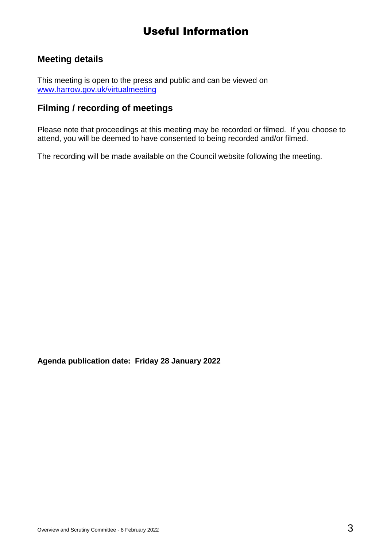# Useful Information

# **Meeting details**

This meeting is open to the press and public and can be viewed on [www.harrow.gov.uk/virtualmeeting](http://www.harrow.gov.uk/virtualmeeting)

# **Filming / recording of meetings**

Please note that proceedings at this meeting may be recorded or filmed. If you choose to attend, you will be deemed to have consented to being recorded and/or filmed.

The recording will be made available on the Council website following the meeting.

**Agenda publication date: Friday 28 January 2022**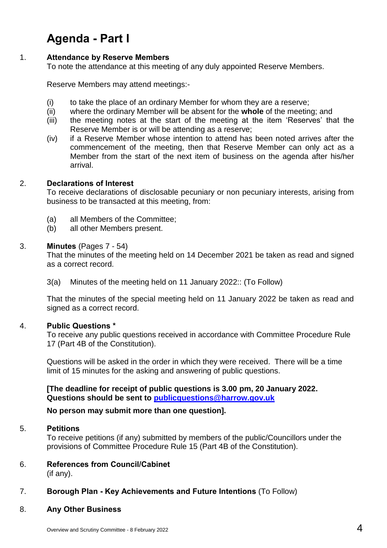# **Agenda - Part I**

#### 1. **Attendance by Reserve Members**

To note the attendance at this meeting of any duly appointed Reserve Members.

Reserve Members may attend meetings:-

- (i) to take the place of an ordinary Member for whom they are a reserve;
- (ii) where the ordinary Member will be absent for the **whole** of the meeting; and
- (iii) the meeting notes at the start of the meeting at the item 'Reserves' that the Reserve Member is or will be attending as a reserve;
- (iv) if a Reserve Member whose intention to attend has been noted arrives after the commencement of the meeting, then that Reserve Member can only act as a Member from the start of the next item of business on the agenda after his/her arrival.

#### 2. **Declarations of Interest**

To receive declarations of disclosable pecuniary or non pecuniary interests, arising from business to be transacted at this meeting, from:

- (a) all Members of the Committee;
- (b) all other Members present.

#### 3. **Minutes** (Pages 7 - 54)

That the minutes of the meeting held on 14 December 2021 be taken as read and signed as a correct record.

3(a) Minutes of the meeting held on 11 January 2022:: (To Follow)

That the minutes of the special meeting held on 11 January 2022 be taken as read and signed as a correct record.

#### 4. **Public Questions \***

To receive any public questions received in accordance with Committee Procedure Rule 17 (Part 4B of the Constitution).

Questions will be asked in the order in which they were received. There will be a time limit of 15 minutes for the asking and answering of public questions.

**[The deadline for receipt of public questions is 3.00 pm, 20 January 2022. Questions should be sent to [publicquestions@harrow.gov.uk](mailto:publicquestions@harrow.gov.uk)** 

#### **No person may submit more than one question].**

#### 5. **Petitions**

To receive petitions (if any) submitted by members of the public/Councillors under the provisions of Committee Procedure Rule 15 (Part 4B of the Constitution).

### 6. **References from Council/Cabinet**

(if any).

#### 7. **Borough Plan - Key Achievements and Future Intentions** (To Follow)

8. **Any Other Business**